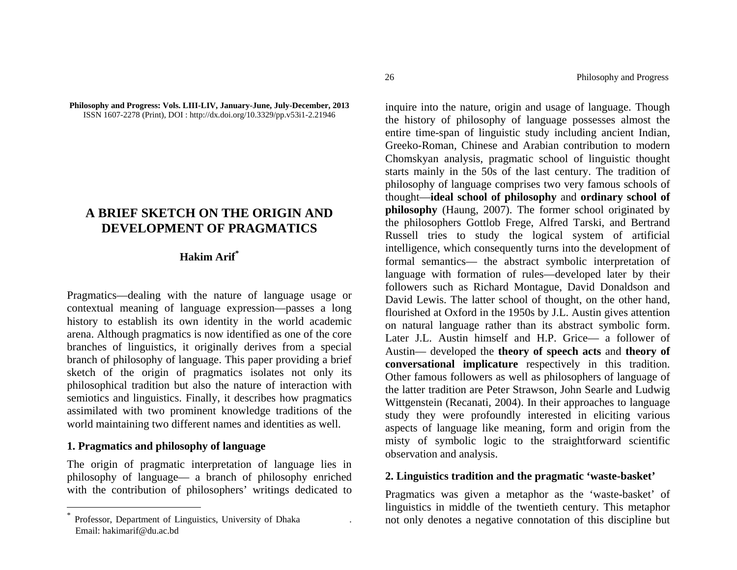#### **Philosophy and Progress: Vols. LIII-LIV, January-June, July-December, 2013**  ISSN 1607-2278 (Print), DOI : http://dx.doi.org/10.3329/pp.v53i1-2.21946

# **A BRIEF SKETCH ON THE ORIGIN AND DEVELOPMENT OF PRAGMATICS**

## **Hakim Arif\***

Pragmatics—dealing with the nature of language usage or contextual meaning of language expression—passes a long history to establish its own identity in the world academic arena. Although pragmatics is now identified as one of the core branches of linguistics, it originally derives from a special branch of philosophy of language. This paper providing a brief sketch of the origin of pragmatics isolates not only its philosophical tradition but also the nature of interaction with semiotics and linguistics. Finally, it describes how pragmatics assimilated with two prominent knowledge traditions of the world maintaining two different names and identities as well.

### **1. Pragmatics and philosophy of language**

The origin of pragmatic interpretation of language lies in philosophy of language— a branch of philosophy enriched with the contribution of philosophers' writings dedicated to

inquire into the nature, origin and usage of language. Though the history of philosophy of language possesses almost the entire time-span of linguistic study including ancient Indian, Greeko-Roman, Chinese and Arabian contribution to modern Chomskyan analysis, pragmatic school of linguistic thought starts mainly in the 50s of the last century. The tradition of philosophy of language comprises two very famous schools of thought—**ideal school of philosophy** and **ordinary school of philosophy** (Haung, 2007). The former school originated by the philosophers Gottlob Frege, Alfred Tarski, and Bertrand Russell tries to study the logical system of artificial intelligence, which consequently turns into the development of formal semantics— the abstract symbolic interpretation of language with formation of rules—developed later by their followers such as Richard Montague, David Donaldson and David Lewis. The latter school of thought, on the other hand, flourished at Oxford in the 1950s by J.L. Austin gives attention on natural language rather than its abstract symbolic form. Later J.L. Austin himself and H.P. Grice— a follower of Austin— developed the **theory of speech acts** and **theory of conversational implicature** respectively in this tradition. Other famous followers as well as philosophers of language of the latter tradition are Peter Strawson, John Searle and Ludwig Wittgenstein (Recanati, 2004). In their approaches to language study they were profoundly interested in eliciting various aspects of language like meaning, form and origin from the misty of symbolic logic to the straightforward scientific observation and analysis.

### **2. Linguistics tradition and the pragmatic 'waste-basket'**

Pragmatics was given a metaphor as the 'waste-basket' of linguistics in middle of the twentieth century. This metaphor not only denotes a negative connotation of this discipline but

<sup>\*</sup>Professor, Department of Linguistics, University of Dhaka . Email: hakimarif@du.ac.bd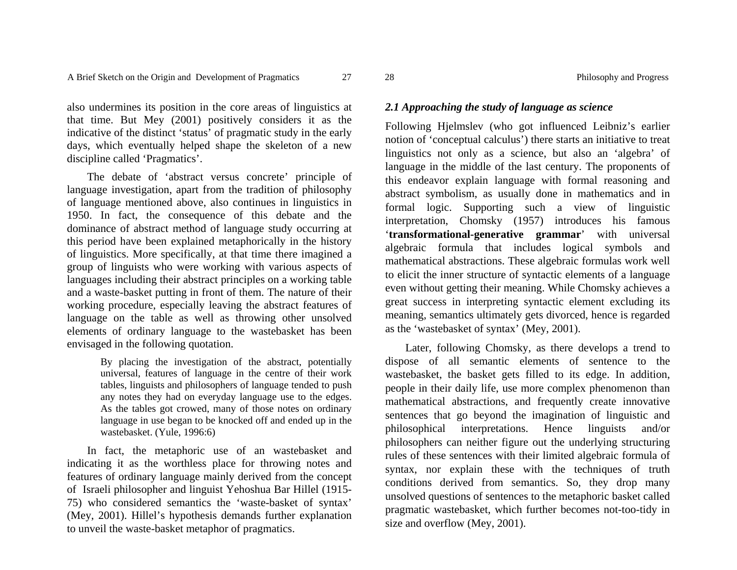also undermines its position in the core areas of linguistics at that time. But Mey (2001) positively considers it as the indicative of the distinct 'status' of pragmatic study in the early days, which eventually helped shape the skeleton of a new discipline called 'Pragmatics'.

The debate of 'abstract versus concrete' principle of language investigation, apart from the tradition of philosophy of language mentioned above, also continues in linguistics in 1950. In fact, the consequence of this debate and the dominance of abstract method of language study occurring at this period have been explained metaphorically in the history of linguistics. More specifically, at that time there imagined a group of linguists who were working with various aspects of languages including their abstract principles on a working table and a waste-basket putting in front of them. The nature of their working procedure, especially leaving the abstract features of language on the table as well as throwing other unsolved elements of ordinary language to the wastebasket has been envisaged in the following quotation.

> By placing the investigation of the abstract, potentially universal, features of language in the centre of their work tables, linguists and philosophers of language tended to push any notes they had on everyday language use to the edges. As the tables got crowed, many of those notes on ordinary language in use began to be knocked off and ended up in the wastebasket. (Yule, 1996:6)

In fact, the metaphoric use of an wastebasket and indicating it as the worthless place for throwing notes and features of ordinary language mainly derived from the concept of Israeli philosopher and linguist Yehoshua Bar Hillel (1915- 75) who considered semantics the 'waste-basket of syntax' (Mey, 2001). Hillel's hypothesis demands further explanation to unveil the waste-basket metaphor of pragmatics.

### *2.1 Approaching the study of language as science*

Following Hjelmslev (who got influenced Leibniz's earlier notion of 'conceptual calculus') there starts an initiative to treat linguistics not only as a science, but also an 'algebra' of language in the middle of the last century. The proponents of this endeavor explain language with formal reasoning and abstract symbolism, as usually done in mathematics and in formal logic. Supporting such a view of linguistic interpretation, Chomsky (1957) introduces his famous '**transformational-generative grammar**' with universal algebraic formula that includes logical symbols and mathematical abstractions. These algebraic formulas work well to elicit the inner structure of syntactic elements of a language even without getting their meaning. While Chomsky achieves a great success in interpreting syntactic element excluding its meaning, semantics ultimately gets divorced, hence is regarded as the 'wastebasket of syntax' (Mey, 2001).

Later, following Chomsky, as there develops a trend to dispose of all semantic elements of sentence to the wastebasket, the basket gets filled to its edge. In addition, people in their daily life, use more complex phenomenon than mathematical abstractions, and frequently create innovative sentences that go beyond the imagination of linguistic and philosophical interpretations. Hence linguists and/or philosophers can neither figure out the underlying structuring rules of these sentences with their limited algebraic formula of syntax, nor explain these with the techniques of truth conditions derived from semantics. So, they drop many unsolved questions of sentences to the metaphoric basket called pragmatic wastebasket, which further becomes not-too-tidy in size and overflow (Mey, 2001).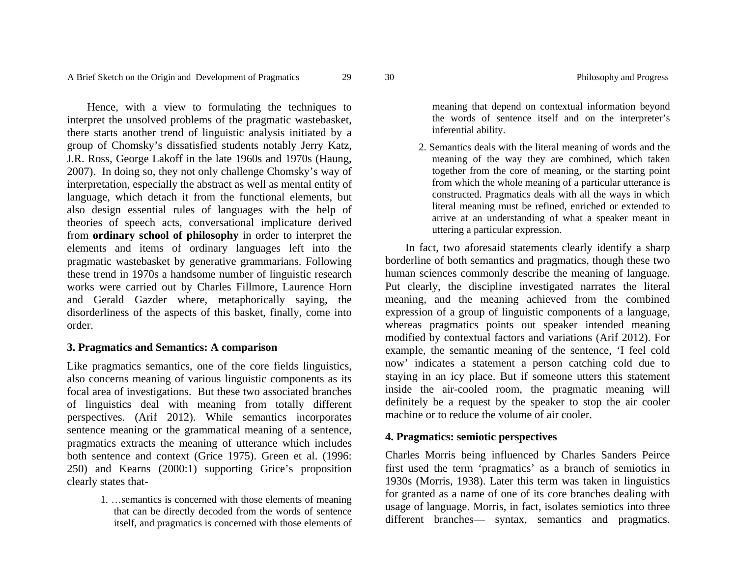Hence, with a view to formulating the techniques to interpret the unsolved problems of the pragmatic wastebasket, there starts another trend of linguistic analysis initiated by a group of Chomsky's dissatisfied students notably Jerry Katz, J.R. Ross, George Lakoff in the late 1960s and 1970s (Haung, 2007). In doing so, they not only challenge Chomsky's way of interpretation, especially the abstract as well as mental entity of language, which detach it from the functional elements, but also design essential rules of languages with the help of theories of speech acts, conversational implicature derived from **ordinary school of philosophy** in order to interpret the elements and items of ordinary languages left into the pragmatic wastebasket by generative grammarians. Following these trend in 1970s a handsome number of linguistic research works were carried out by Charles Fillmore, Laurence Horn and Gerald Gazder where, metaphorically saying, the disorderliness of the aspects of this basket, finally, come into order.

### **3. Pragmatics and Semantics: A comparison**

Like pragmatics semantics, one of the core fields linguistics, also concerns meaning of various linguistic components as its focal area of investigations. But these two associated branches of linguistics deal with meaning from totally different perspectives. (Arif 2012). While semantics incorporates sentence meaning or the grammatical meaning of a sentence, pragmatics extracts the meaning of utterance which includes both sentence and context (Grice 1975). Green et al. (1996: 250) and Kearns (2000:1) supporting Grice's proposition clearly states that-

> 1. …semantics is concerned with those elements of meaning that can be directly decoded from the words of sentence itself, and pragmatics is concerned with those elements of

meaning that depend on contextual information beyond the words of sentence itself and on the interpreter's inferential ability.

2. Semantics deals with the literal meaning of words and the meaning of the way they are combined, which taken together from the core of meaning, or the starting point from which the whole meaning of a particular utterance is constructed. Pragmatics deals with all the ways in which literal meaning must be refined, enriched or extended to arrive at an understanding of what a speaker meant in uttering a particular expression.

In fact, two aforesaid statements clearly identify a sharp borderline of both semantics and pragmatics, though these two human sciences commonly describe the meaning of language. Put clearly, the discipline investigated narrates the literal meaning, and the meaning achieved from the combined expression of a group of linguistic components of a language, whereas pragmatics points out speaker intended meaning modified by contextual factors and variations (Arif 2012). For example, the semantic meaning of the sentence, 'I feel cold now' indicates a statement a person catching cold due to staying in an icy place. But if someone utters this statement inside the air-cooled room, the pragmatic meaning will definitely be a request by the speaker to stop the air cooler machine or to reduce the volume of air cooler.

### **4. Pragmatics: semiotic perspectives**

Charles Morris being influenced by Charles Sanders Peirce first used the term 'pragmatics' as a branch of semiotics in 1930s (Morris, 1938). Later this term was taken in linguistics for granted as a name of one of its core branches dealing with usage of language. Morris, in fact, isolates semiotics into three different branches— syntax, semantics and pragmatics.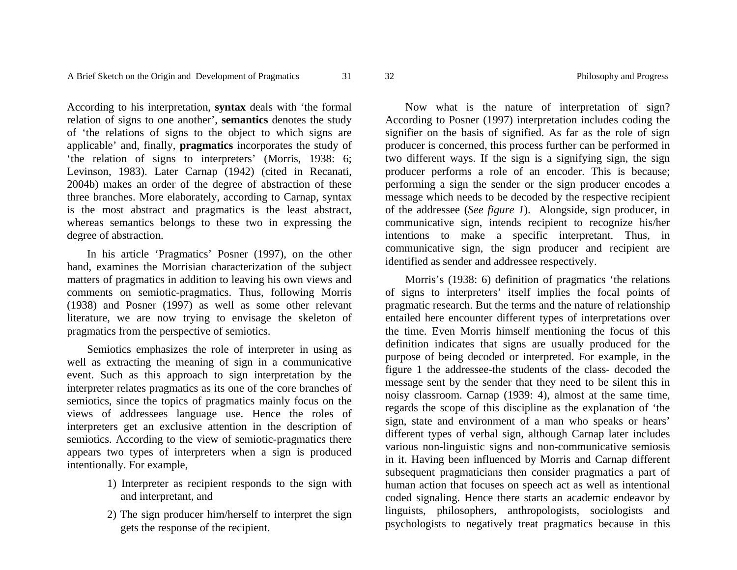According to his interpretation, **syntax** deals with 'the formal relation of signs to one another', **semantics** denotes the study of 'the relations of signs to the object to which signs are applicable' and, finally, **pragmatics** incorporates the study of 'the relation of signs to interpreters' (Morris, 1938: 6; Levinson, 1983). Later Carnap (1942) (cited in Recanati, 2004b) makes an order of the degree of abstraction of these three branches. More elaborately, according to Carnap, syntax is the most abstract and pragmatics is the least abstract, whereas semantics belongs to these two in expressing the degree of abstraction.

In his article 'Pragmatics' Posner (1997), on the other hand, examines the Morrisian characterization of the subject matters of pragmatics in addition to leaving his own views and comments on semiotic-pragmatics. Thus, following Morris (1938) and Posner (1997) as well as some other relevant literature, we are now trying to envisage the skeleton of pragmatics from the perspective of semiotics.

Semiotics emphasizes the role of interpreter in using as well as extracting the meaning of sign in a communicative event. Such as this approach to sign interpretation by the interpreter relates pragmatics as its one of the core branches of semiotics, since the topics of pragmatics mainly focus on the views of addressees language use. Hence the roles of interpreters get an exclusive attention in the description of semiotics. According to the view of semiotic-pragmatics there appears two types of interpreters when a sign is produced intentionally. For example,

- 1) Interpreter as recipient responds to the sign with and interpretant, and
- 2) The sign producer him/herself to interpret the sign gets the response of the recipient.

Now what is the nature of interpretation of sign? According to Posner (1997) interpretation includes coding the signifier on the basis of signified. As far as the role of sign producer is concerned, this process further can be performed in two different ways. If the sign is a signifying sign, the sign producer performs a role of an encoder. This is because; performing a sign the sender or the sign producer encodes a message which needs to be decoded by the respective recipient of the addressee (*See figure 1*). Alongside, sign producer, in communicative sign, intends recipient to recognize his/her intentions to make a specific interpretant. Thus, in communicative sign, the sign producer and recipient are identified as sender and addressee respectively.

Morris's (1938: 6) definition of pragmatics 'the relations of signs to interpreters' itself implies the focal points of pragmatic research. But the terms and the nature of relationship entailed here encounter different types of interpretations over the time. Even Morris himself mentioning the focus of this definition indicates that signs are usually produced for the purpose of being decoded or interpreted. For example, in the figure 1 the addressee-the students of the class- decoded the message sent by the sender that they need to be silent this in noisy classroom. Carnap (1939: 4), almost at the same time, regards the scope of this discipline as the explanation of 'the sign, state and environment of a man who speaks or hears' different types of verbal sign, although Carnap later includes various non-linguistic signs and non-communicative semiosis in it. Having been influenced by Morris and Carnap different subsequent pragmaticians then consider pragmatics a part of human action that focuses on speech act as well as intentional coded signaling. Hence there starts an academic endeavor by linguists, philosophers, anthropologists, sociologists and psychologists to negatively treat pragmatics because in this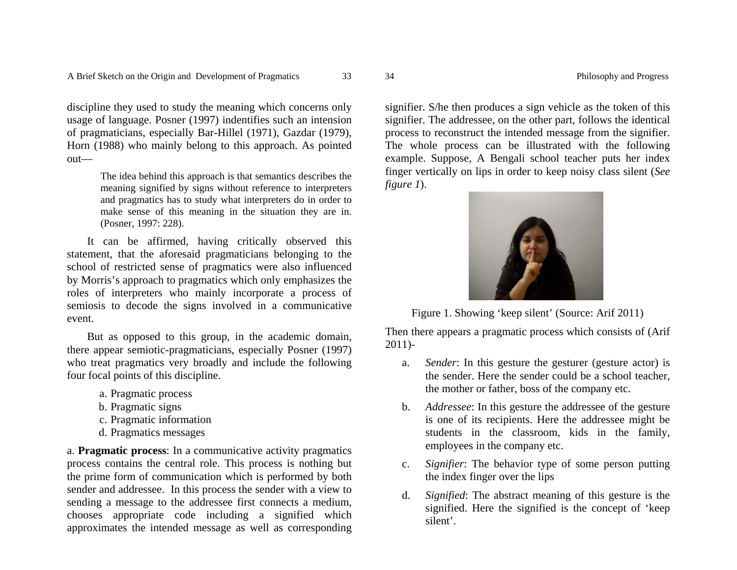discipline they used to study the meaning which concerns only usage of language. Posner (1997) indentifies such an intension of pragmaticians, especially Bar-Hillel (1971), Gazdar (1979), Horn (1988) who mainly belong to this approach. As pointed out—

> The idea behind this approach is that semantics describes the meaning signified by signs without reference to interpreters and pragmatics has to study what interpreters do in order to make sense of this meaning in the situation they are in. (Posner, 1997: 228).

It can be affirmed, having critically observed this statement, that the aforesaid pragmaticians belonging to the school of restricted sense of pragmatics were also influenced by Morris's approach to pragmatics which only emphasizes the roles of interpreters who mainly incorporate a process of semiosis to decode the signs involved in a communicative event.

But as opposed to this group, in the academic domain, there appear semiotic-pragmaticians, especially Posner (1997) who treat pragmatics very broadly and include the following four focal points of this discipline.

- a. Pragmatic process
- b. Pragmatic signs
- c. Pragmatic information
- d. Pragmatics messages

a. **Pragmatic process**: In a communicative activity pragmatics process contains the central role. This process is nothing but the prime form of communication which is performed by both sender and addressee. In this process the sender with a view to sending a message to the addressee first connects a medium, chooses appropriate code including a signified which approximates the intended message as well as corresponding

signifier. S/he then produces a sign vehicle as the token of this signifier. The addressee, on the other part, follows the identical process to reconstruct the intended message from the signifier. The whole process can be illustrated with the following example. Suppose, A Bengali school teacher puts her index finger vertically on lips in order to keep noisy class silent (*See figure 1*).



Figure 1. Showing 'keep silent' (Source: Arif 2011)

Then there appears a pragmatic process which consists of (Arif 2011)-

- a.*Sender*: In this gesture the gesturer (gesture actor) is the sender. Here the sender could be a school teacher, the mother or father, boss of the company etc.
- b. *Addressee*: In this gesture the addressee of the gesture is one of its recipients. Here the addressee might be students in the classroom, kids in the family, employees in the company etc.
- c. *Signifier*: The behavior type of some person putting the index finger over the lips
- d. *Signified*: The abstract meaning of this gesture is the signified. Here the signified is the concept of 'keep silent'.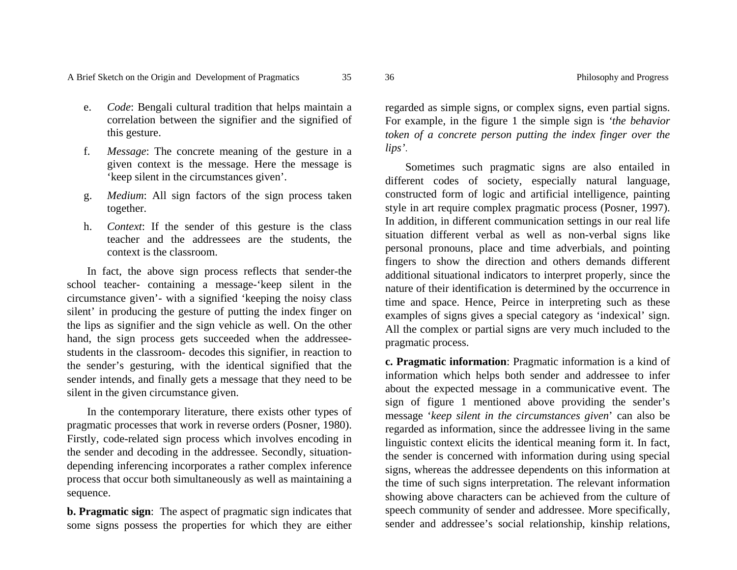- e. *Code*: Bengali cultural tradition that helps maintain a correlation between the signifier and the signified of this gesture.
- f. *Message*: The concrete meaning of the gesture in a given context is the message. Here the message is 'keep silent in the circumstances given'.
- g. *Medium*: All sign factors of the sign process taken together.
- h. *Context*: If the sender of this gesture is the class teacher and the addressees are the students, the context is the classroom.

In fact, the above sign process reflects that sender-the school teacher- containing a message-'keep silent in the circumstance given'- with a signified 'keeping the noisy class silent' in producing the gesture of putting the index finger on the lips as signifier and the sign vehicle as well. On the other hand, the sign process gets succeeded when the addresseestudents in the classroom- decodes this signifier, in reaction to the sender's gesturing, with the identical signified that the sender intends, and finally gets a message that they need to be silent in the given circumstance given.

In the contemporary literature, there exists other types of pragmatic processes that work in reverse orders (Posner, 1980). Firstly, code-related sign process which involves encoding in the sender and decoding in the addressee. Secondly, situationdepending inferencing incorporates a rather complex inference process that occur both simultaneously as well as maintaining a sequence.

**b. Pragmatic sign**: The aspect of pragmatic sign indicates that some signs possess the properties for which they are either regarded as simple signs, or complex signs, even partial signs. For example, in the figure 1 the simple sign is *'the behavior token of a concrete person putting the index finger over the lips'*.

Sometimes such pragmatic signs are also entailed in different codes of society, especially natural language, constructed form of logic and artificial intelligence, painting style in art require complex pragmatic process (Posner, 1997). In addition, in different communication settings in our real life situation different verbal as well as non-verbal signs like personal pronouns, place and time adverbials, and pointing fingers to show the direction and others demands different additional situational indicators to interpret properly, since the nature of their identification is determined by the occurrence in time and space. Hence, Peirce in interpreting such as these examples of signs gives a special category as 'indexical' sign. All the complex or partial signs are very much included to the pragmatic process.

**c. Pragmatic information**: Pragmatic information is a kind of information which helps both sender and addressee to infer about the expected message in a communicative event. The sign of figure 1 mentioned above providing the sender's message '*keep silent in the circumstances given*' can also be regarded as information, since the addressee living in the same linguistic context elicits the identical meaning form it. In fact, the sender is concerned with information during using special signs, whereas the addressee dependents on this information at the time of such signs interpretation. The relevant information showing above characters can be achieved from the culture of speech community of sender and addressee. More specifically, sender and addressee's social relationship, kinship relations,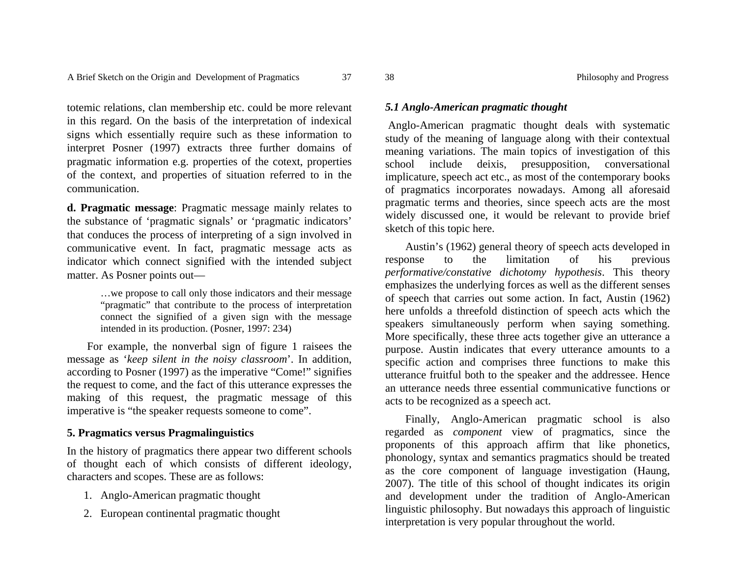totemic relations, clan membership etc. could be more relevant in this regard. On the basis of the interpretation of indexical signs which essentially require such as these information to interpret Posner (1997) extracts three further domains of pragmatic information e.g. properties of the cotext, properties of the context, and properties of situation referred to in the communication.

**d. Pragmatic message**: Pragmatic message mainly relates to the substance of 'pragmatic signals' or 'pragmatic indicators' that conduces the process of interpreting of a sign involved in communicative event. In fact, pragmatic message acts as indicator which connect signified with the intended subject matter. As Posner points out—

> …we propose to call only those indicators and their message "pragmatic" that contribute to the process of interpretation connect the signified of a given sign with the message intended in its production. (Posner, 1997: 234)

For example, the nonverbal sign of figure 1 raisees the message as '*keep silent in the noisy classroom*'. In addition, according to Posner (1997) as the imperative "Come!" signifies the request to come, and the fact of this utterance expresses the making of this request, the pragmatic message of this imperative is "the speaker requests someone to come".

# **5. Pragmatics versus Pragmalinguistics**

In the history of pragmatics there appear two different schools of thought each of which consists of different ideology, characters and scopes. These are as follows:

- 1. Anglo-American pragmatic thought
- 2. European continental pragmatic thought

### *5.1 Anglo-American pragmatic thought*

 Anglo-American pragmatic thought deals with systematic study of the meaning of language along with their contextual meaning variations. The main topics of investigation of this school include deixis, presupposition, conversational implicature, speech act etc., as most of the contemporary books of pragmatics incorporates nowadays. Among all aforesaid pragmatic terms and theories, since speech acts are the most widely discussed one, it would be relevant to provide brief sketch of this topic here.

Austin's (1962) general theory of speech acts developed in response to the limitation of his previous *performative/constative dichotomy hypothesis*. This theory emphasizes the underlying forces as well as the different senses of speech that carries out some action. In fact, Austin (1962) here unfolds a threefold distinction of speech acts which the speakers simultaneously perform when saying something. More specifically, these three acts together give an utterance a purpose. Austin indicates that every utterance amounts to a specific action and comprises three functions to make this utterance fruitful both to the speaker and the addressee. Hence an utterance needs three essential communicative functions or acts to be recognized as a speech act.

Finally, Anglo-American pragmatic school is also regarded as *componen<sup>t</sup>* view of pragmatics, since the proponents of this approach affirm that like phonetics, phonology, syntax and semantics pragmatics should be treated as the core component of language investigation (Haung, 2007). The title of this school of thought indicates its origin and development under the tradition of Anglo-American linguistic philosophy. But nowadays this approach of linguistic interpretation is very popular throughout the world.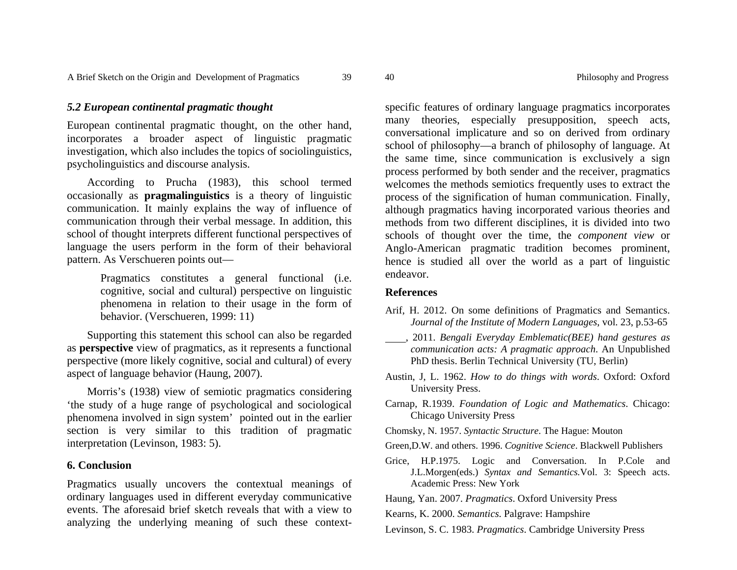European continental pragmatic thought, on the other hand, incorporates a broader aspect of linguistic pragmatic investigation, which also includes the topics of sociolinguistics, psycholinguistics and discourse analysis.

According to Prucha (1983), this school termed occasionally as **pragmalinguistics** is a theory of linguistic communication. It mainly explains the way of influence of communication through their verbal message. In addition, this school of thought interprets different functional perspectives of language the users perform in the form of their behavioral pattern. As Verschueren points out—

> Pragmatics constitutes a general functional (i.e. cognitive, social and cultural) perspective on linguistic phenomena in relation to their usage in the form of behavior. (Verschueren, 1999: 11)

Supporting this statement this school can also be regarded as **perspective** view of pragmatics, as it represents a functional perspective (more likely cognitive, social and cultural) of every aspect of language behavior (Haung, 2007).

Morris's (1938) view of semiotic pragmatics considering 'the study of a huge range of psychological and sociological phenomena involved in sign system' pointed out in the earlier section is very similar to this tradition of pragmatic interpretation (Levinson, 1983: 5).

### **6. Conclusion**

Pragmatics usually uncovers the contextual meanings of ordinary languages used in different everyday communicative events. The aforesaid brief sketch reveals that with a view to analyzing the underlying meaning of such these contextspecific features of ordinary language pragmatics incorporates<br>many theories, especially presupposition, speech acts,<br>conversational implicature and so on derived from ordinary<br>school of philosophy—a branch of philosophy o

#### **References**

- Arif, H. 2012. On some definitions of Pragmatics and Semantics.
- Journal of the Institute of Modern Languages, vol. 23, p.53-65<br>
2011. Bengali Everyday Emblematic (BEE) hand gestures as<br>
communication acts: A pragmatic approach. An Unpublished<br>
PhD thesis. Berlin Technical University (T
- 
- 
- 
- 
- 
- 
- 
-